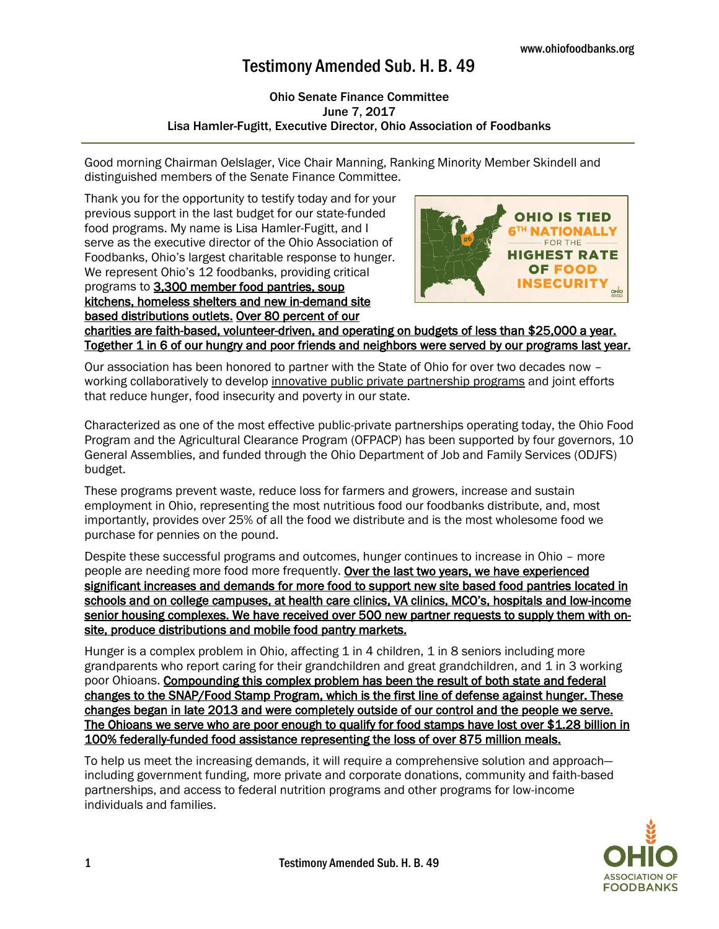## Testimony Amended Sub. H. B. 49

## Ohio Senate Finance Committee June 7, 2017 Lisa Hamler-Fugitt, Executive Director, Ohio Association of Foodbanks

Good morning Chairman Oelslager, Vice Chair Manning, Ranking Minority Member Skindell and distinguished members of the Senate Finance Committee.

Thank you for the opportunity to testify today and for your previous support in the last budget for our state-funded food programs. My name is Lisa Hamler-Fugitt, and I serve as the executive director of the Ohio Association of Foodbanks, Ohio's largest charitable response to hunger. We represent Ohio's 12 foodbanks, providing critical programs to 3,300 member food pantries, soup kitchens, homeless shelters and new in-demand site based distributions outlets. Over 80 percent of our



charities are faith-based, volunteer-driven, and operating on budgets of less than \$25,000 a year. Together 1 in 6 of our hungry and poor friends and neighbors were served by our programs last year.

Our association has been honored to partner with the State of Ohio for over two decades now – working collaboratively to develop innovative public private partnership programs and joint efforts that reduce hunger, food insecurity and poverty in our state.

Characterized as one of the most effective public-private partnerships operating today, the Ohio Food Program and the Agricultural Clearance Program (OFPACP) has been supported by four governors, 10 General Assemblies, and funded through the Ohio Department of Job and Family Services (ODJFS) budget.

These programs prevent waste, reduce loss for farmers and growers, increase and sustain employment in Ohio, representing the most nutritious food our foodbanks distribute, and, most importantly, provides over 25% of all the food we distribute and is the most wholesome food we purchase for pennies on the pound.

Despite these successful programs and outcomes, hunger continues to increase in Ohio – more people are needing more food more frequently. Over the last two years, we have experienced significant increases and demands for more food to support new site based food pantries located in schools and on college campuses, at health care clinics, VA clinics, MCO's, hospitals and low-income senior housing complexes. We have received over 500 new partner requests to supply them with onsite, produce distributions and mobile food pantry markets.

Hunger is a complex problem in Ohio, affecting 1 in 4 children, 1 in 8 seniors including more grandparents who report caring for their grandchildren and great grandchildren, and 1 in 3 working poor Ohioans. Compounding this complex problem has been the result of both state and federal changes to the SNAP/Food Stamp Program, which is the first line of defense against hunger. These changes began in late 2013 and were completely outside of our control and the people we serve. The Ohioans we serve who are poor enough to qualify for food stamps have lost over \$1.28 billion in 100% federally-funded food assistance representing the loss of over 875 million meals.

To help us meet the increasing demands, it will require a comprehensive solution and approach including government funding, more private and corporate donations, community and faith-based partnerships, and access to federal nutrition programs and other programs for low-income individuals and families.